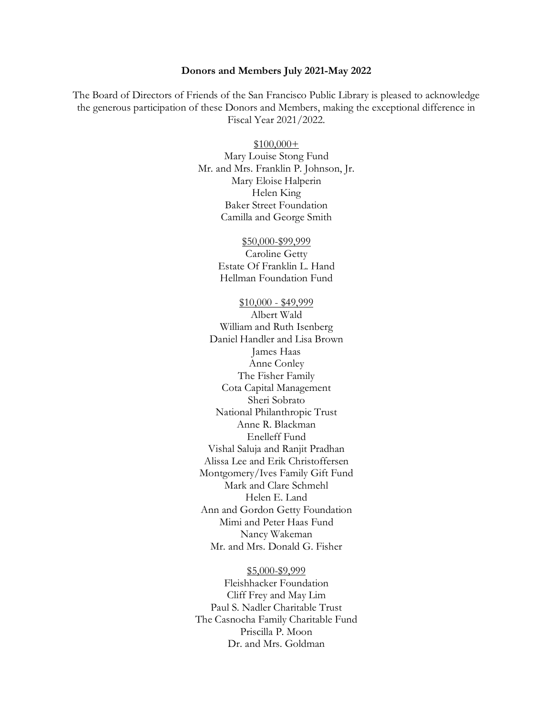## **Donors and Members July 2021-May 2022**

The Board of Directors of Friends of the San Francisco Public Library is pleased to acknowledge the generous participation of these Donors and Members, making the exceptional difference in Fiscal Year 2021/2022.

## \$100,000+

Mary Louise Stong Fund Mr. and Mrs. Franklin P. Johnson, Jr. Mary Eloise Halperin Helen King Baker Street Foundation Camilla and George Smith

#### \$50,000-\$99,999

Caroline Getty Estate Of Franklin L. Hand Hellman Foundation Fund

### \$10,000 - \$49,999

Albert Wald William and Ruth Isenberg Daniel Handler and Lisa Brown James Haas Anne Conley The Fisher Family Cota Capital Management Sheri Sobrato National Philanthropic Trust Anne R. Blackman Enelleff Fund Vishal Saluja and Ranjit Pradhan Alissa Lee and Erik Christoffersen Montgomery/Ives Family Gift Fund Mark and Clare Schmehl Helen E. Land Ann and Gordon Getty Foundation Mimi and Peter Haas Fund Nancy Wakeman Mr. and Mrs. Donald G. Fisher

# \$5,000-\$9,999

Fleishhacker Foundation Cliff Frey and May Lim Paul S. Nadler Charitable Trust The Casnocha Family Charitable Fund Priscilla P. Moon Dr. and Mrs. Goldman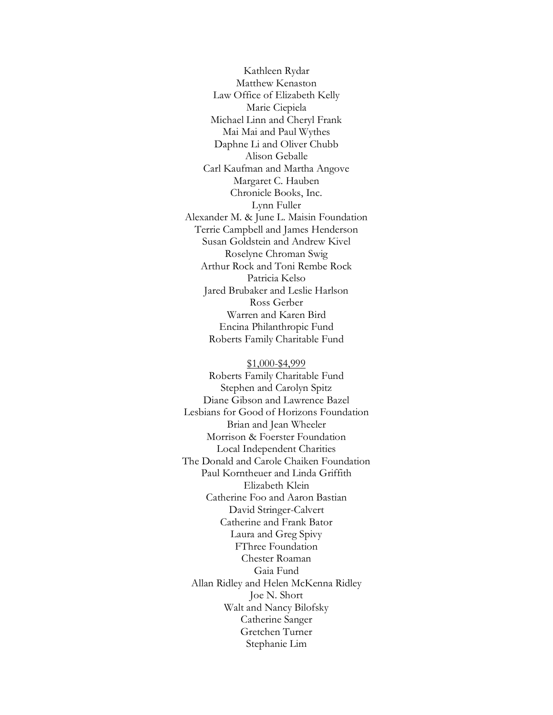Kathleen Rydar Matthew Kenaston Law Office of Elizabeth Kelly Marie Ciepiela Michael Linn and Cheryl Frank Mai Mai and Paul Wythes Daphne Li and Oliver Chubb Alison Geballe Carl Kaufman and Martha Angove Margaret C. Hauben Chronicle Books, Inc. Lynn Fuller Alexander M. & June L. Maisin Foundation Terrie Campbell and James Henderson Susan Goldstein and Andrew Kivel Roselyne Chroman Swig Arthur Rock and Toni Rembe Rock Patricia Kelso Jared Brubaker and Leslie Harlson Ross Gerber Warren and Karen Bird Encina Philanthropic Fund Roberts Family Charitable Fund

\$1,000-\$4,999 Roberts Family Charitable Fund Stephen and Carolyn Spitz Diane Gibson and Lawrence Bazel Lesbians for Good of Horizons Foundation Brian and Jean Wheeler Morrison & Foerster Foundation Local Independent Charities The Donald and Carole Chaiken Foundation Paul Korntheuer and Linda Griffith Elizabeth Klein Catherine Foo and Aaron Bastian David Stringer-Calvert Catherine and Frank Bator Laura and Greg Spivy FThree Foundation Chester Roaman Gaia Fund Allan Ridley and Helen McKenna Ridley Joe N. Short Walt and Nancy Bilofsky Catherine Sanger Gretchen Turner Stephanie Lim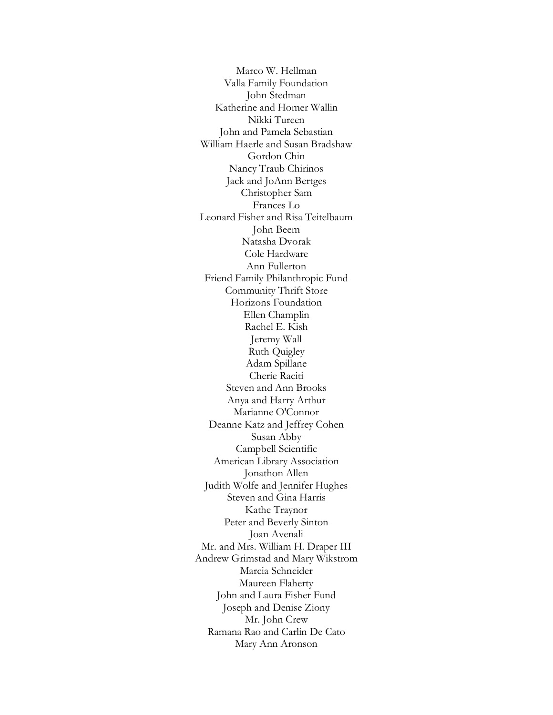Marco W. Hellman Valla Family Foundation John Stedman Katherine and Homer Wallin Nikki Tureen John and Pamela Sebastian William Haerle and Susan Bradshaw Gordon Chin Nancy Traub Chirinos Jack and JoAnn Bertges Christopher Sam Frances Lo Leonard Fisher and Risa Teitelbaum John Beem Natasha Dvorak Cole Hardware Ann Fullerton Friend Family Philanthropic Fund Community Thrift Store Horizons Foundation Ellen Champlin Rachel E. Kish Jeremy Wall Ruth Quigley Adam Spillane Cherie Raciti Steven and Ann Brooks Anya and Harry Arthur Marianne O'Connor Deanne Katz and Jeffrey Cohen Susan Abby Campbell Scientific American Library Association Jonathon Allen Judith Wolfe and Jennifer Hughes Steven and Gina Harris Kathe Traynor Peter and Beverly Sinton Joan Avenali Mr. and Mrs. William H. Draper III Andrew Grimstad and Mary Wikstrom Marcia Schneider Maureen Flaherty John and Laura Fisher Fund Joseph and Denise Ziony Mr. John Crew Ramana Rao and Carlin De Cato Mary Ann Aronson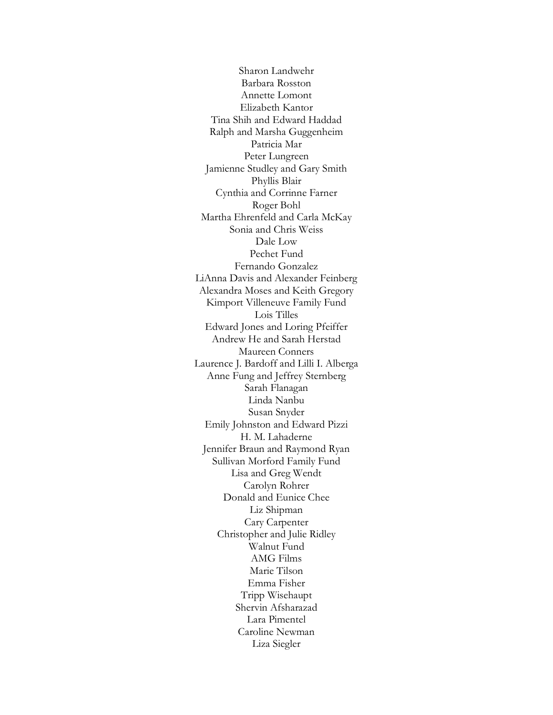Sharon Landwehr Barbara Rosston Annette Lomont Elizabeth Kantor Tina Shih and Edward Haddad Ralph and Marsha Guggenheim Patricia Mar Peter Lungreen Jamienne Studley and Gary Smith Phyllis Blair Cynthia and Corrinne Farner Roger Bohl Martha Ehrenfeld and Carla McKay Sonia and Chris Weiss Dale Low Pechet Fund Fernando Gonzalez LiAnna Davis and Alexander Feinberg Alexandra Moses and Keith Gregory Kimport Villeneuve Family Fund Lois Tilles Edward Jones and Loring Pfeiffer Andrew He and Sarah Herstad Maureen Conners Laurence J. Bardoff and Lilli I. Alberga Anne Fung and Jeffrey Sternberg Sarah Flanagan Linda Nanbu Susan Snyder Emily Johnston and Edward Pizzi H. M. Lahaderne Jennifer Braun and Raymond Ryan Sullivan Morford Family Fund Lisa and Greg Wendt Carolyn Rohrer Donald and Eunice Chee Liz Shipman Cary Carpenter Christopher and Julie Ridley Walnut Fund AMG Films Marie Tilson Emma Fisher Tripp Wisehaupt Shervin Afsharazad Lara Pimentel Caroline Newman Liza Siegler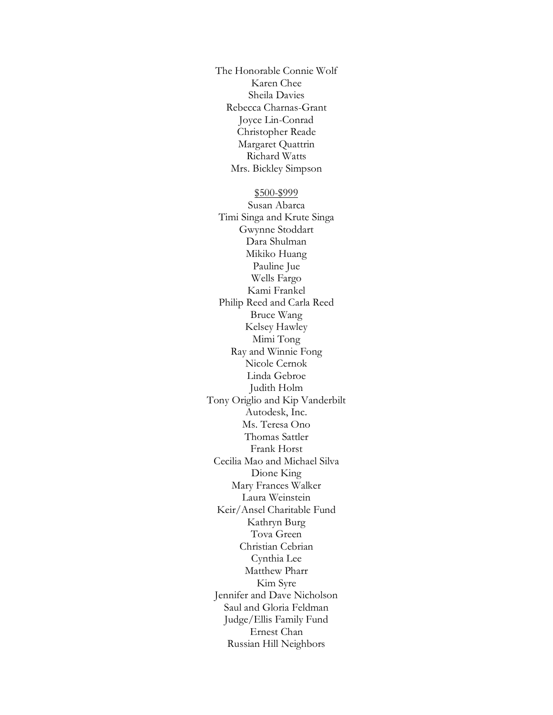The Honorable Connie Wolf Karen Chee Sheila Davies Rebecca Charnas-Grant Joyce Lin-Conrad Christopher Reade Margaret Quattrin Richard Watts Mrs. Bickley Simpson

# \$500-\$999

Susan Abarca Timi Singa and Krute Singa Gwynne Stoddart Dara Shulman Mikiko Huang Pauline Jue Wells Fargo Kami Frankel Philip Reed and Carla Reed Bruce Wang Kelsey Hawley Mimi Tong Ray and Winnie Fong Nicole Cernok Linda Gebroe Judith Holm Tony Origlio and Kip Vanderbilt Autodesk, Inc. Ms. Teresa Ono Thomas Sattler Frank Horst Cecilia Mao and Michael Silva Dione King Mary Frances Walker Laura Weinstein Keir/Ansel Charitable Fund Kathryn Burg Tova Green Christian Cebrian Cynthia Lee Matthew Pharr Kim Syre Jennifer and Dave Nicholson Saul and Gloria Feldman Judge/Ellis Family Fund Ernest Chan Russian Hill Neighbors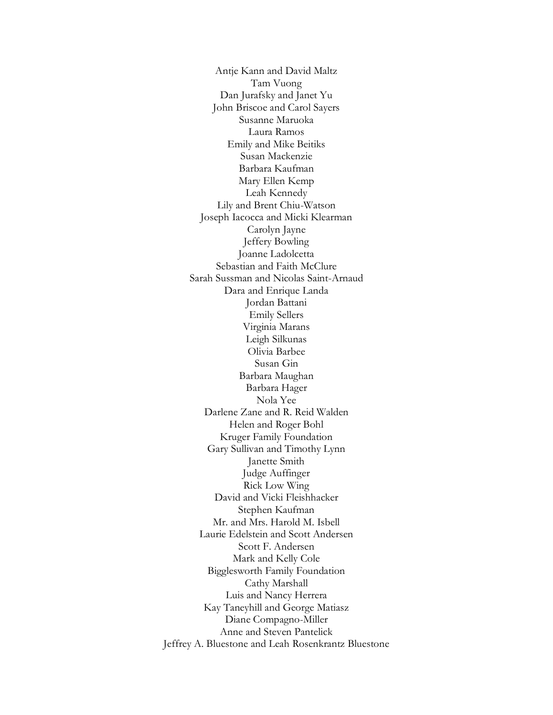Antje Kann and David Maltz Tam Vuong Dan Jurafsky and Janet Yu John Briscoe and Carol Sayers Susanne Maruoka Laura Ramos Emily and Mike Beitiks Susan Mackenzie Barbara Kaufman Mary Ellen Kemp Leah Kennedy Lily and Brent Chiu-Watson Joseph Iacocca and Micki Klearman Carolyn Jayne Jeffery Bowling Joanne Ladolcetta Sebastian and Faith McClure Sarah Sussman and Nicolas Saint-Arnaud Dara and Enrique Landa Jordan Battani Emily Sellers Virginia Marans Leigh Silkunas Olivia Barbee Susan Gin Barbara Maughan Barbara Hager Nola Yee Darlene Zane and R. Reid Walden Helen and Roger Bohl Kruger Family Foundation Gary Sullivan and Timothy Lynn Janette Smith Judge Auffinger Rick Low Wing David and Vicki Fleishhacker Stephen Kaufman Mr. and Mrs. Harold M. Isbell Laurie Edelstein and Scott Andersen Scott F. Andersen Mark and Kelly Cole Bigglesworth Family Foundation Cathy Marshall Luis and Nancy Herrera Kay Taneyhill and George Matiasz Diane Compagno-Miller Anne and Steven Pantelick Jeffrey A. Bluestone and Leah Rosenkrantz Bluestone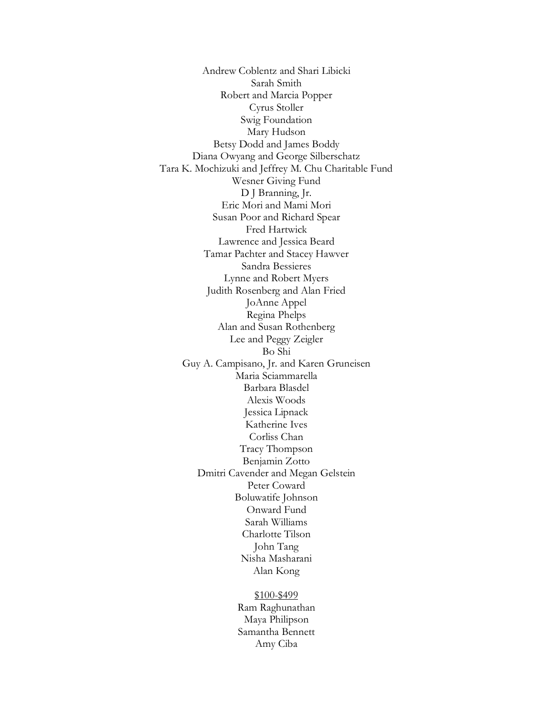Andrew Coblentz and Shari Libicki Sarah Smith Robert and Marcia Popper Cyrus Stoller Swig Foundation Mary Hudson Betsy Dodd and James Boddy Diana Owyang and George Silberschatz Tara K. Mochizuki and Jeffrey M. Chu Charitable Fund Wesner Giving Fund D J Branning, Jr. Eric Mori and Mami Mori Susan Poor and Richard Spear Fred Hartwick Lawrence and Jessica Beard Tamar Pachter and Stacey Hawver Sandra Bessieres Lynne and Robert Myers Judith Rosenberg and Alan Fried JoAnne Appel Regina Phelps Alan and Susan Rothenberg Lee and Peggy Zeigler Bo Shi Guy A. Campisano, Jr. and Karen Gruneisen Maria Sciammarella Barbara Blasdel Alexis Woods Jessica Lipnack Katherine Ives Corliss Chan Tracy Thompson Benjamin Zotto Dmitri Cavender and Megan Gelstein Peter Coward Boluwatife Johnson Onward Fund Sarah Williams Charlotte Tilson John Tang Nisha Masharani Alan Kong

# \$100-\$499

Ram Raghunathan Maya Philipson Samantha Bennett Amy Ciba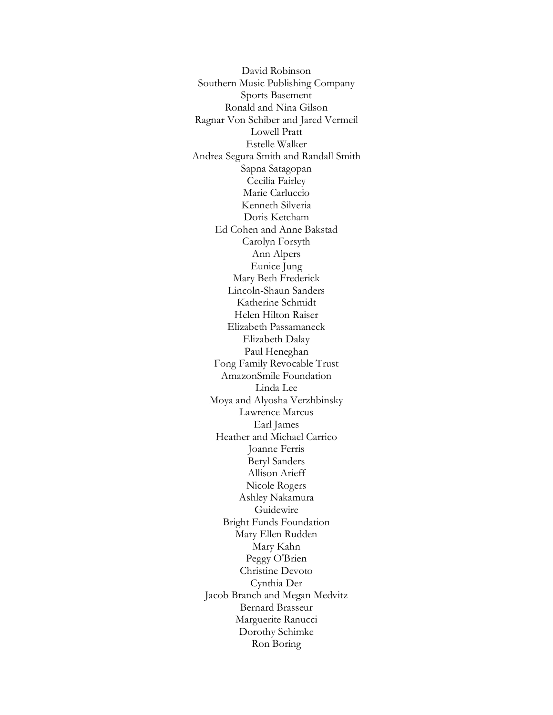David Robinson Southern Music Publishing Company Sports Basement Ronald and Nina Gilson Ragnar Von Schiber and Jared Vermeil Lowell Pratt Estelle Walker Andrea Segura Smith and Randall Smith Sapna Satagopan Cecilia Fairley Marie Carluccio Kenneth Silveria Doris Ketcham Ed Cohen and Anne Bakstad Carolyn Forsyth Ann Alpers Eunice Jung Mary Beth Frederick Lincoln-Shaun Sanders Katherine Schmidt Helen Hilton Raiser Elizabeth Passamaneck Elizabeth Dalay Paul Heneghan Fong Family Revocable Trust AmazonSmile Foundation Linda Lee Moya and Alyosha Verzhbinsky Lawrence Marcus Earl James Heather and Michael Carrico Joanne Ferris Beryl Sanders Allison Arieff Nicole Rogers Ashley Nakamura Guidewire Bright Funds Foundation Mary Ellen Rudden Mary Kahn Peggy O'Brien Christine Devoto Cynthia Der Jacob Branch and Megan Medvitz Bernard Brasseur Marguerite Ranucci Dorothy Schimke Ron Boring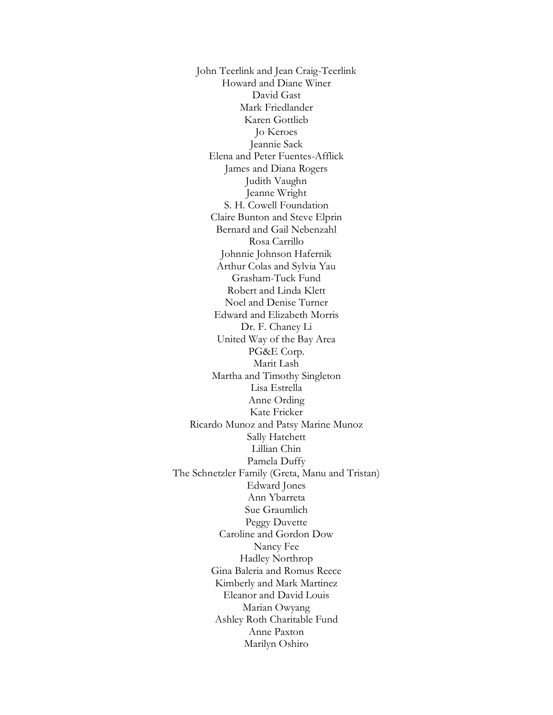John Teerlink and Jean Craig-Teerlink Howard and Diane Winer David Gast Mark Friedlander Karen Gottlieb Jo Keroes Jeannie Sack Elena and Peter Fuentes-Afflick James and Diana Rogers Judith Vaughn Jeanne Wright S. H. Cowell Foundation Claire Bunton and Steve Elprin Bernard and Gail Nebenzahl Rosa Carrillo Johnnie Johnson Hafernik Arthur Colas and Sylvia Yau Grasham-Tuck Fund Robert and Linda Klett Noel and Denise Turner Edward and Elizabeth Morris Dr. F. Chaney Li United Way of the Bay Area PG&E Corp. Marit Lash Martha and Timothy Singleton Lisa Estrella Anne Ording Kate Fricker Ricardo Munoz and Patsy Marine Munoz Sally Hatchett Lillian Chin Pamela Duffy The Schnetzler Family (Greta, Manu and Tristan) Edward Jones Ann Ybarreta Sue Graumlich Peggy Duvette Caroline and Gordon Dow Nancy Fee Hadley Northrop Gina Baleria and Romus Reece Kimberly and Mark Martinez Eleanor and David Louis Marian Owyang Ashley Roth Charitable Fund Anne Paxton Marilyn Oshiro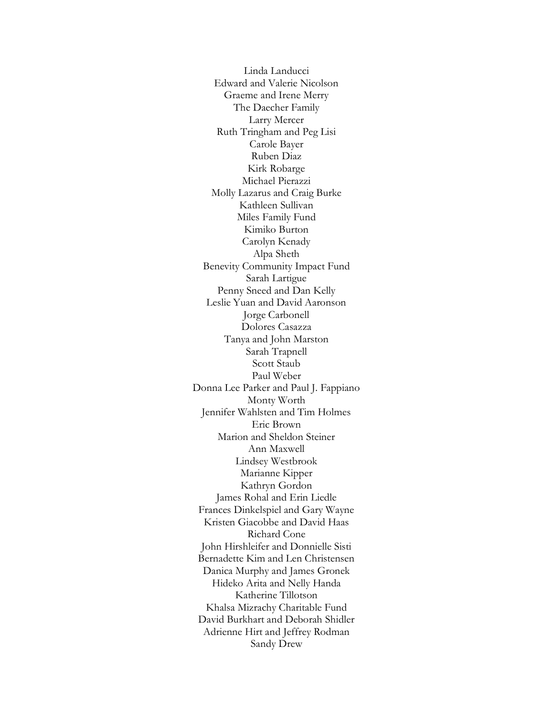Linda Landucci Edward and Valerie Nicolson Graeme and Irene Merry The Daecher Family Larry Mercer Ruth Tringham and Peg Lisi Carole Bayer Ruben Diaz Kirk Robarge Michael Pierazzi Molly Lazarus and Craig Burke Kathleen Sullivan Miles Family Fund Kimiko Burton Carolyn Kenady Alpa Sheth Benevity Community Impact Fund Sarah Lartigue Penny Sneed and Dan Kelly Leslie Yuan and David Aaronson Jorge Carbonell Dolores Casazza Tanya and John Marston Sarah Trapnell Scott Staub Paul Weber Donna Lee Parker and Paul J. Fappiano Monty Worth Jennifer Wahlsten and Tim Holmes Eric Brown Marion and Sheldon Steiner Ann Maxwell Lindsey Westbrook Marianne Kipper Kathryn Gordon James Rohal and Erin Liedle Frances Dinkelspiel and Gary Wayne Kristen Giacobbe and David Haas Richard Cone John Hirshleifer and Donnielle Sisti Bernadette Kim and Len Christensen Danica Murphy and James Gronek Hideko Arita and Nelly Handa Katherine Tillotson Khalsa Mizrachy Charitable Fund David Burkhart and Deborah Shidler Adrienne Hirt and Jeffrey Rodman Sandy Drew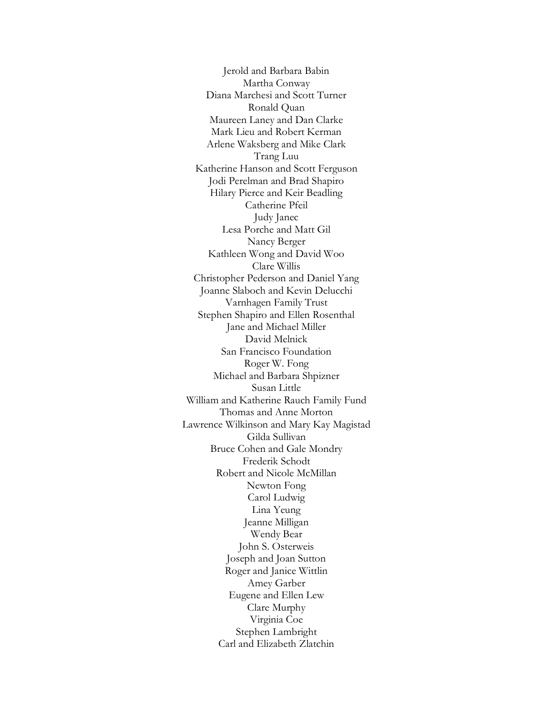Jerold and Barbara Babin Martha Conway Diana Marchesi and Scott Turner Ronald Quan Maureen Laney and Dan Clarke Mark Lieu and Robert Kerman Arlene Waksberg and Mike Clark Trang Luu Katherine Hanson and Scott Ferguson Jodi Perelman and Brad Shapiro Hilary Pierce and Keir Beadling Catherine Pfeil Judy Janec Lesa Porche and Matt Gil Nancy Berger Kathleen Wong and David Woo Clare Willis Christopher Pederson and Daniel Yang Joanne Slaboch and Kevin Delucchi Varnhagen Family Trust Stephen Shapiro and Ellen Rosenthal Jane and Michael Miller David Melnick San Francisco Foundation Roger W. Fong Michael and Barbara Shpizner Susan Little William and Katherine Rauch Family Fund Thomas and Anne Morton Lawrence Wilkinson and Mary Kay Magistad Gilda Sullivan Bruce Cohen and Gale Mondry Frederik Schodt Robert and Nicole McMillan Newton Fong Carol Ludwig Lina Yeung Jeanne Milligan Wendy Bear John S. Osterweis Joseph and Joan Sutton Roger and Janice Wittlin Amey Garber Eugene and Ellen Lew Clare Murphy Virginia Coe Stephen Lambright Carl and Elizabeth Zlatchin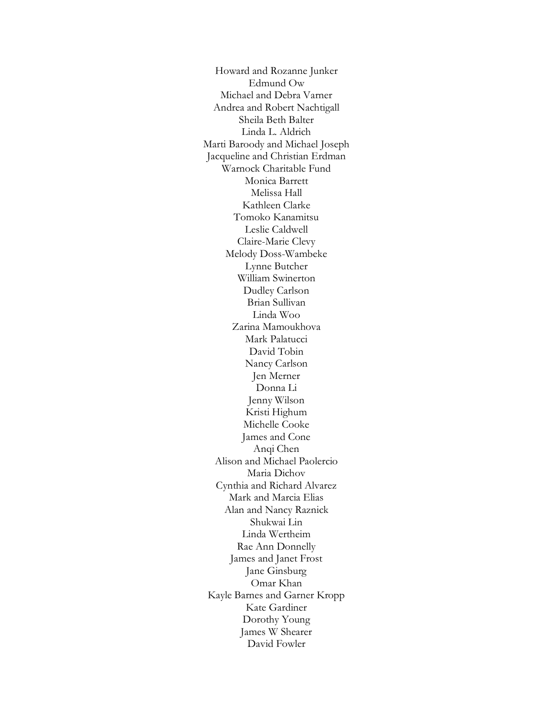Howard and Rozanne Junker Edmund Ow Michael and Debra Varner Andrea and Robert Nachtigall Sheila Beth Balter Linda L. Aldrich Marti Baroody and Michael Joseph Jacqueline and Christian Erdman Warnock Charitable Fund Monica Barrett Melissa Hall Kathleen Clarke Tomoko Kanamitsu Leslie Caldwell Claire-Marie Clevy Melody Doss-Wambeke Lynne Butcher William Swinerton Dudley Carlson Brian Sullivan Linda Woo Zarina Mamoukhova Mark Palatucci David Tobin Nancy Carlson Jen Merner Donna Li Jenny Wilson Kristi Highum Michelle Cooke James and Cone Anqi Chen Alison and Michael Paolercio Maria Dichov Cynthia and Richard Alvarez Mark and Marcia Elias Alan and Nancy Raznick Shukwai Lin Linda Wertheim Rae Ann Donnelly James and Janet Frost Jane Ginsburg Omar Khan Kayle Barnes and Garner Kropp Kate Gardiner Dorothy Young James W Shearer David Fowler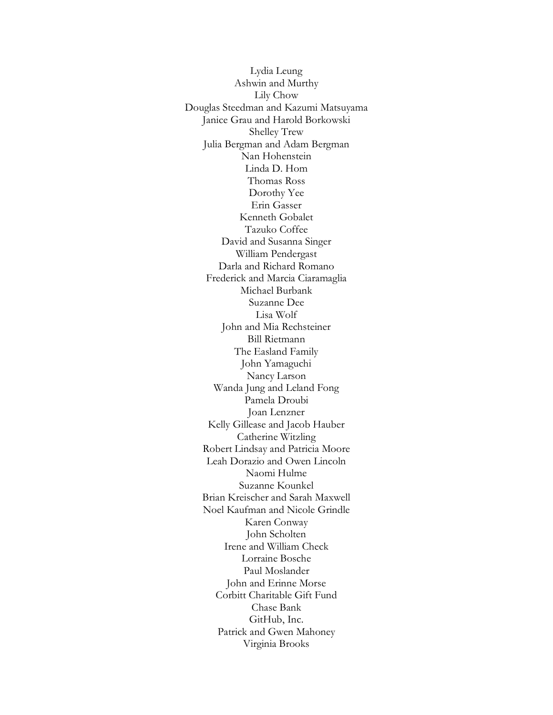Lydia Leung Ashwin and Murthy Lily Chow Douglas Steedman and Kazumi Matsuyama Janice Grau and Harold Borkowski Shelley Trew Julia Bergman and Adam Bergman Nan Hohenstein Linda D. Hom Thomas Ross Dorothy Yee Erin Gasser Kenneth Gobalet Tazuko Coffee David and Susanna Singer William Pendergast Darla and Richard Romano Frederick and Marcia Ciaramaglia Michael Burbank Suzanne Dee Lisa Wolf John and Mia Rechsteiner Bill Rietmann The Easland Family John Yamaguchi Nancy Larson Wanda Jung and Leland Fong Pamela Droubi Joan Lenzner Kelly Gillease and Jacob Hauber Catherine Witzling Robert Lindsay and Patricia Moore Leah Dorazio and Owen Lincoln Naomi Hulme Suzanne Kounkel Brian Kreischer and Sarah Maxwell Noel Kaufman and Nicole Grindle Karen Conway John Scholten Irene and William Check Lorraine Bosche Paul Moslander John and Erinne Morse Corbitt Charitable Gift Fund Chase Bank GitHub, Inc. Patrick and Gwen Mahoney Virginia Brooks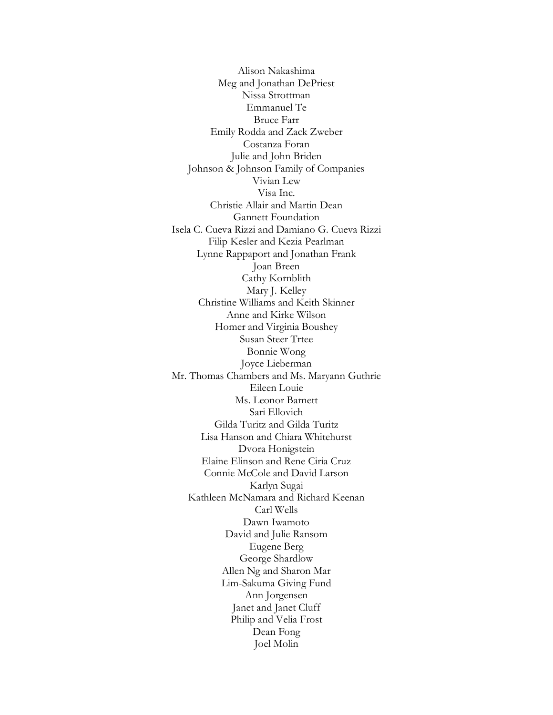Alison Nakashima Meg and Jonathan DePriest Nissa Strottman Emmanuel Te Bruce Farr Emily Rodda and Zack Zweber Costanza Foran Julie and John Briden Johnson & Johnson Family of Companies Vivian Lew Visa Inc. Christie Allair and Martin Dean Gannett Foundation Isela C. Cueva Rizzi and Damiano G. Cueva Rizzi Filip Kesler and Kezia Pearlman Lynne Rappaport and Jonathan Frank Joan Breen Cathy Kornblith Mary J. Kelley Christine Williams and Keith Skinner Anne and Kirke Wilson Homer and Virginia Boushey Susan Steer Trtee Bonnie Wong Joyce Lieberman Mr. Thomas Chambers and Ms. Maryann Guthrie Eileen Louie Ms. Leonor Barnett Sari Ellovich Gilda Turitz and Gilda Turitz Lisa Hanson and Chiara Whitehurst Dvora Honigstein Elaine Elinson and Rene Ciria Cruz Connie McCole and David Larson Karlyn Sugai Kathleen McNamara and Richard Keenan Carl Wells Dawn Iwamoto David and Julie Ransom Eugene Berg George Shardlow Allen Ng and Sharon Mar Lim-Sakuma Giving Fund Ann Jorgensen Janet and Janet Cluff Philip and Velia Frost Dean Fong Joel Molin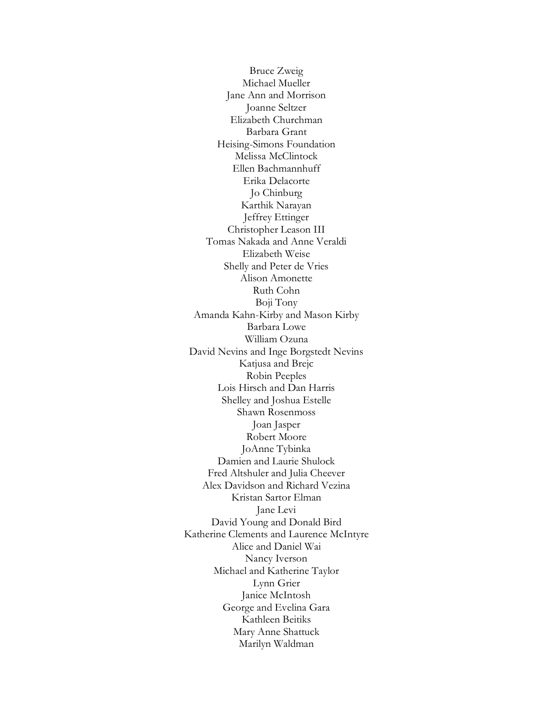Bruce Zweig Michael Mueller Jane Ann and Morrison Joanne Seltzer Elizabeth Churchman Barbara Grant Heising-Simons Foundation Melissa McClintock Ellen Bachmannhuff Erika Delacorte Jo Chinburg Karthik Narayan Jeffrey Ettinger Christopher Leason III Tomas Nakada and Anne Veraldi Elizabeth Weise Shelly and Peter de Vries Alison Amonette Ruth Cohn Boji Tony Amanda Kahn-Kirby and Mason Kirby Barbara Lowe William Ozuna David Nevins and Inge Borgstedt Nevins Katjusa and Brejc Robin Peeples Lois Hirsch and Dan Harris Shelley and Joshua Estelle Shawn Rosenmoss Joan Jasper Robert Moore JoAnne Tybinka Damien and Laurie Shulock Fred Altshuler and Julia Cheever Alex Davidson and Richard Vezina Kristan Sartor Elman Jane Levi David Young and Donald Bird Katherine Clements and Laurence McIntyre Alice and Daniel Wai Nancy Iverson Michael and Katherine Taylor Lynn Grier Janice McIntosh George and Evelina Gara Kathleen Beitiks Mary Anne Shattuck Marilyn Waldman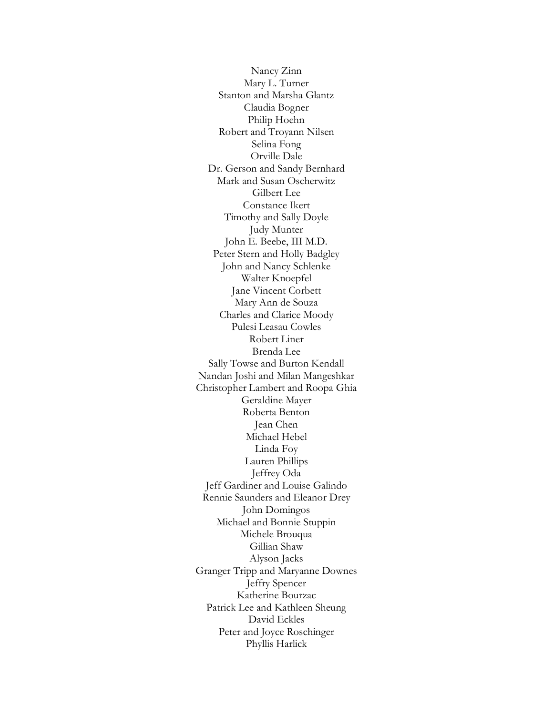Nancy Zinn Mary L. Turner Stanton and Marsha Glantz Claudia Bogner Philip Hoehn Robert and Troyann Nilsen Selina Fong Orville Dale Dr. Gerson and Sandy Bernhard Mark and Susan Oscherwitz Gilbert Lee Constance Ikert Timothy and Sally Doyle Judy Munter John E. Beebe, III M.D. Peter Stern and Holly Badgley John and Nancy Schlenke Walter Knoepfel Jane Vincent Corbett Mary Ann de Souza Charles and Clarice Moody Pulesi Leasau Cowles Robert Liner Brenda Lee Sally Towse and Burton Kendall Nandan Joshi and Milan Mangeshkar Christopher Lambert and Roopa Ghia Geraldine Mayer Roberta Benton Jean Chen Michael Hebel Linda Foy Lauren Phillips Jeffrey Oda Jeff Gardiner and Louise Galindo Rennie Saunders and Eleanor Drey John Domingos Michael and Bonnie Stuppin Michele Brouqua Gillian Shaw Alyson Jacks Granger Tripp and Maryanne Downes Jeffry Spencer Katherine Bourzac Patrick Lee and Kathleen Sheung David Eckles Peter and Joyce Roschinger Phyllis Harlick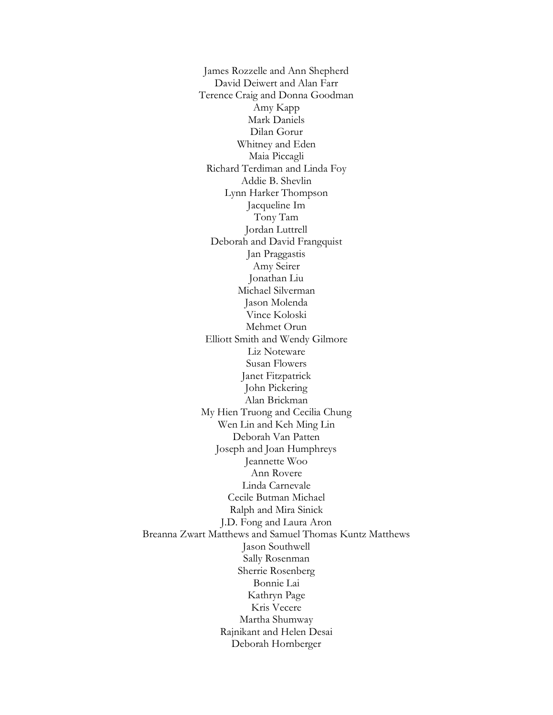James Rozzelle and Ann Shepherd David Deiwert and Alan Farr Terence Craig and Donna Goodman Amy Kapp Mark Daniels Dilan Gorur Whitney and Eden Maia Piccagli Richard Terdiman and Linda Foy Addie B. Shevlin Lynn Harker Thompson Jacqueline Im Tony Tam Jordan Luttrell Deborah and David Frangquist Jan Praggastis Amy Seirer Jonathan Liu Michael Silverman Jason Molenda Vince Koloski Mehmet Orun Elliott Smith and Wendy Gilmore Liz Noteware Susan Flowers Janet Fitzpatrick John Pickering Alan Brickman My Hien Truong and Cecilia Chung Wen Lin and Keh Ming Lin Deborah Van Patten Joseph and Joan Humphreys Jeannette Woo Ann Rovere Linda Carnevale Cecile Butman Michael Ralph and Mira Sinick J.D. Fong and Laura Aron Breanna Zwart Matthews and Samuel Thomas Kuntz Matthews Jason Southwell Sally Rosenman Sherrie Rosenberg Bonnie Lai Kathryn Page Kris Vecere Martha Shumway Rajnikant and Helen Desai Deborah Hornberger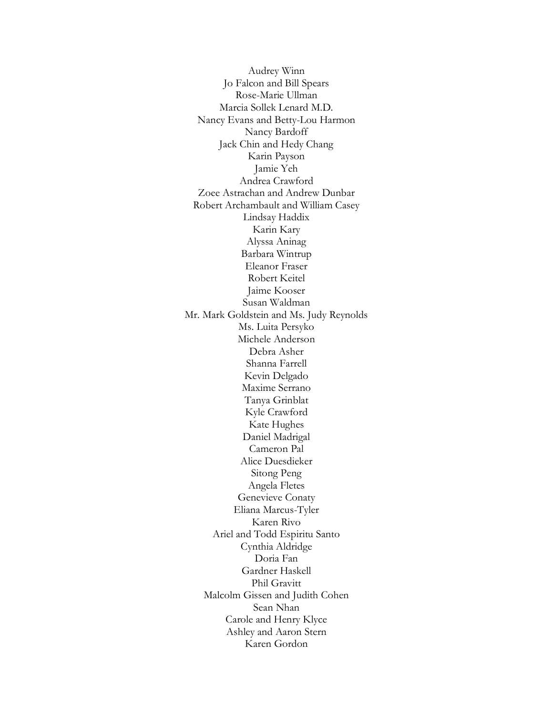Audrey Winn Jo Falcon and Bill Spears Rose-Marie Ullman Marcia Sollek Lenard M.D. Nancy Evans and Betty-Lou Harmon Nancy Bardoff Jack Chin and Hedy Chang Karin Payson Jamie Yeh Andrea Crawford Zoee Astrachan and Andrew Dunbar Robert Archambault and William Casey Lindsay Haddix Karin Kary Alyssa Aninag Barbara Wintrup Eleanor Fraser Robert Keitel Jaime Kooser Susan Waldman Mr. Mark Goldstein and Ms. Judy Reynolds Ms. Luita Persyko Michele Anderson Debra Asher Shanna Farrell Kevin Delgado Maxime Serrano Tanya Grinblat Kyle Crawford Kate Hughes Daniel Madrigal Cameron Pal Alice Duesdieker Sitong Peng Angela Fletes Genevieve Conaty Eliana Marcus-Tyler Karen Rivo Ariel and Todd Espiritu Santo Cynthia Aldridge Doria Fan Gardner Haskell Phil Gravitt Malcolm Gissen and Judith Cohen Sean Nhan Carole and Henry Klyce Ashley and Aaron Stern Karen Gordon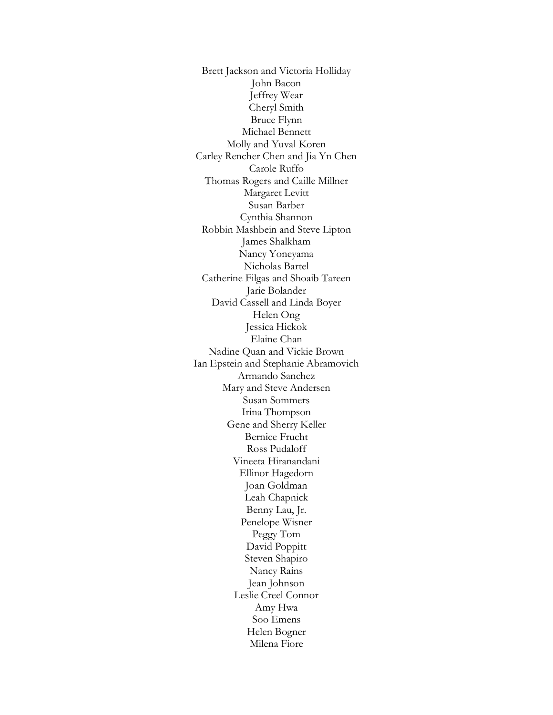Brett Jackson and Victoria Holliday John Bacon Jeffrey Wear Cheryl Smith Bruce Flynn Michael Bennett Molly and Yuval Koren Carley Rencher Chen and Jia Yn Chen Carole Ruffo Thomas Rogers and Caille Millner Margaret Levitt Susan Barber Cynthia Shannon Robbin Mashbein and Steve Lipton James Shalkham Nancy Yoneyama Nicholas Bartel Catherine Filgas and Shoaib Tareen Jarie Bolander David Cassell and Linda Boyer Helen Ong Jessica Hickok Elaine Chan Nadine Quan and Vickie Brown Ian Epstein and Stephanie Abramovich Armando Sanchez Mary and Steve Andersen Susan Sommers Irina Thompson Gene and Sherry Keller Bernice Frucht Ross Pudaloff Vineeta Hiranandani Ellinor Hagedorn Joan Goldman Leah Chapnick Benny Lau, Jr. Penelope Wisner Peggy Tom David Poppitt Steven Shapiro Nancy Rains Jean Johnson Leslie Creel Connor Amy Hwa Soo Emens Helen Bogner Milena Fiore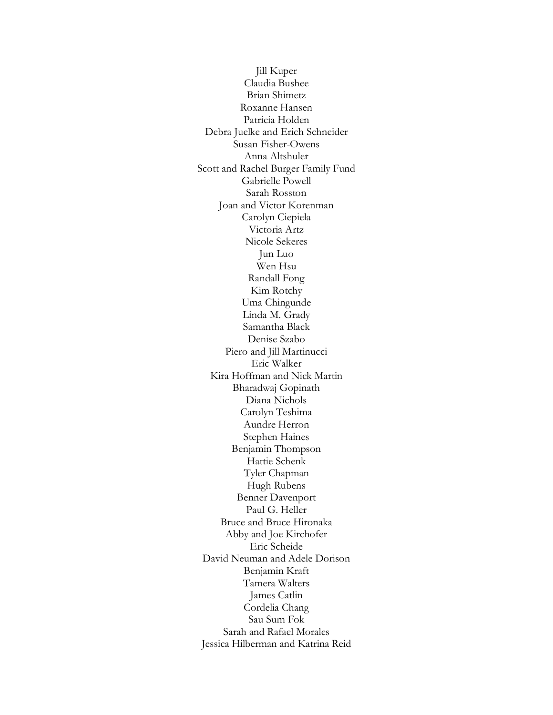Jill Kuper Claudia Bushee Brian Shimetz Roxanne Hansen Patricia Holden Debra Juelke and Erich Schneider Susan Fisher-Owens Anna Altshuler Scott and Rachel Burger Family Fund Gabrielle Powell Sarah Rosston Joan and Victor Korenman Carolyn Ciepiela Victoria Artz Nicole Sekeres Jun Luo Wen Hsu Randall Fong Kim Rotchy Uma Chingunde Linda M. Grady Samantha Black Denise Szabo Piero and Jill Martinucci Eric Walker Kira Hoffman and Nick Martin Bharadwaj Gopinath Diana Nichols Carolyn Teshima Aundre Herron Stephen Haines Benjamin Thompson Hattie Schenk Tyler Chapman Hugh Rubens Benner Davenport Paul G. Heller Bruce and Bruce Hironaka Abby and Joe Kirchofer Eric Scheide David Neuman and Adele Dorison Benjamin Kraft Tamera Walters James Catlin Cordelia Chang Sau Sum Fok Sarah and Rafael Morales Jessica Hilberman and Katrina Reid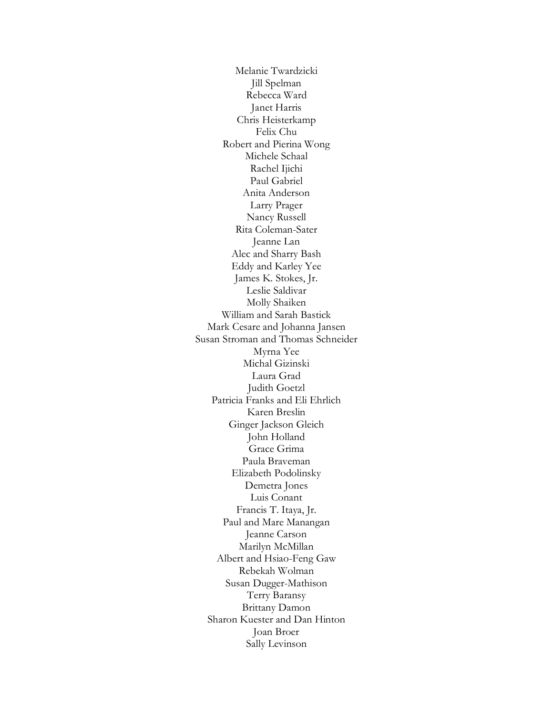Melanie Twardzicki Jill Spelman Rebecca Ward Janet Harris Chris Heisterkamp Felix Chu Robert and Pierina Wong Michele Schaal Rachel Ijichi Paul Gabriel Anita Anderson Larry Prager Nancy Russell Rita Coleman-Sater Jeanne Lan Alec and Sharry Bash Eddy and Karley Yee James K. Stokes, Jr. Leslie Saldivar Molly Shaiken William and Sarah Bastick Mark Cesare and Johanna Jansen Susan Stroman and Thomas Schneider Myrna Yee Michal Gizinski Laura Grad Judith Goetzl Patricia Franks and Eli Ehrlich Karen Breslin Ginger Jackson Gleich John Holland Grace Grima Paula Braveman Elizabeth Podolinsky Demetra Jones Luis Conant Francis T. Itaya, Jr. Paul and Mare Manangan Jeanne Carson Marilyn McMillan Albert and Hsiao-Feng Gaw Rebekah Wolman Susan Dugger-Mathison Terry Baransy Brittany Damon Sharon Kuester and Dan Hinton Joan Broer Sally Levinson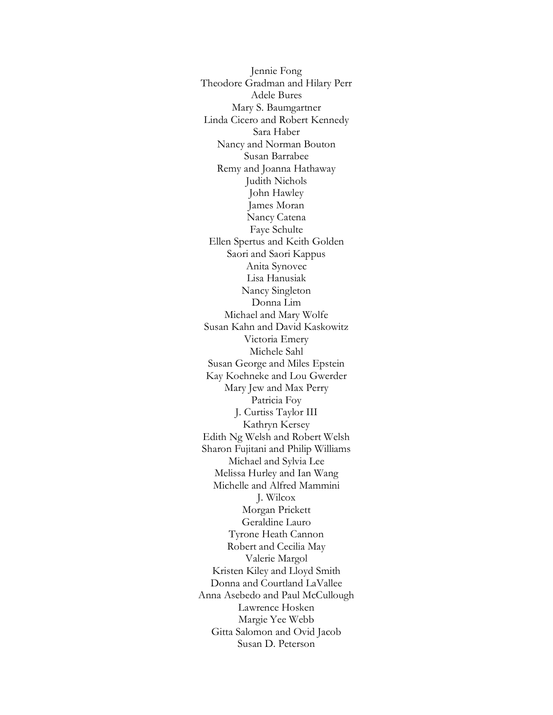Jennie Fong Theodore Gradman and Hilary Perr Adele Bures Mary S. Baumgartner Linda Cicero and Robert Kennedy Sara Haber Nancy and Norman Bouton Susan Barrabee Remy and Joanna Hathaway Judith Nichols John Hawley James Moran Nancy Catena Faye Schulte Ellen Spertus and Keith Golden Saori and Saori Kappus Anita Synovec Lisa Hanusiak Nancy Singleton Donna Lim Michael and Mary Wolfe Susan Kahn and David Kaskowitz Victoria Emery Michele Sahl Susan George and Miles Epstein Kay Koehneke and Lou Gwerder Mary Jew and Max Perry Patricia Foy J. Curtiss Taylor III Kathryn Kersey Edith Ng Welsh and Robert Welsh Sharon Fujitani and Philip Williams Michael and Sylvia Lee Melissa Hurley and Ian Wang Michelle and Alfred Mammini J. Wilcox Morgan Prickett Geraldine Lauro Tyrone Heath Cannon Robert and Cecilia May Valerie Margol Kristen Kiley and Lloyd Smith Donna and Courtland LaVallee Anna Asebedo and Paul McCullough Lawrence Hosken Margie Yee Webb Gitta Salomon and Ovid Jacob Susan D. Peterson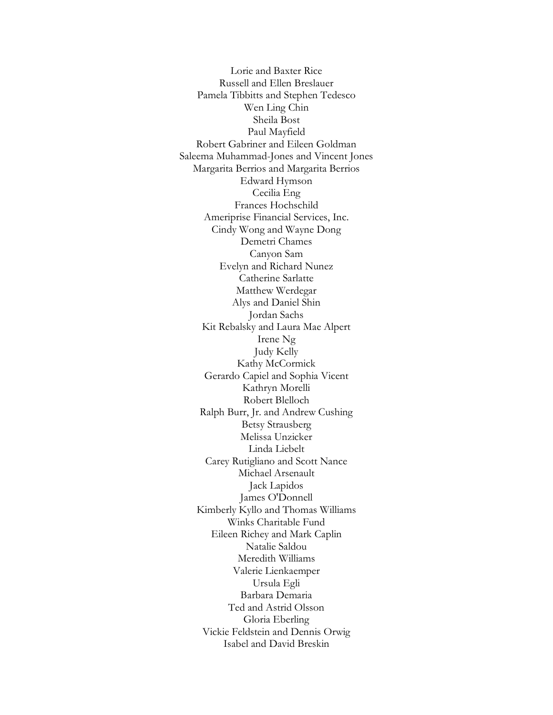Lorie and Baxter Rice Russell and Ellen Breslauer Pamela Tibbitts and Stephen Tedesco Wen Ling Chin Sheila Bost Paul Mayfield Robert Gabriner and Eileen Goldman Saleema Muhammad-Jones and Vincent Jones Margarita Berrios and Margarita Berrios Edward Hymson Cecilia Eng Frances Hochschild Ameriprise Financial Services, Inc. Cindy Wong and Wayne Dong Demetri Chames Canyon Sam Evelyn and Richard Nunez Catherine Sarlatte Matthew Werdegar Alys and Daniel Shin Jordan Sachs Kit Rebalsky and Laura Mae Alpert Irene Ng Judy Kelly Kathy McCormick Gerardo Capiel and Sophia Vicent Kathryn Morelli Robert Blelloch Ralph Burr, Jr. and Andrew Cushing Betsy Strausberg Melissa Unzicker Linda Liebelt Carey Rutigliano and Scott Nance Michael Arsenault Jack Lapidos James O'Donnell Kimberly Kyllo and Thomas Williams Winks Charitable Fund Eileen Richey and Mark Caplin Natalie Saldou Meredith Williams Valerie Lienkaemper Ursula Egli Barbara Demaria Ted and Astrid Olsson Gloria Eberling Vickie Feldstein and Dennis Orwig Isabel and David Breskin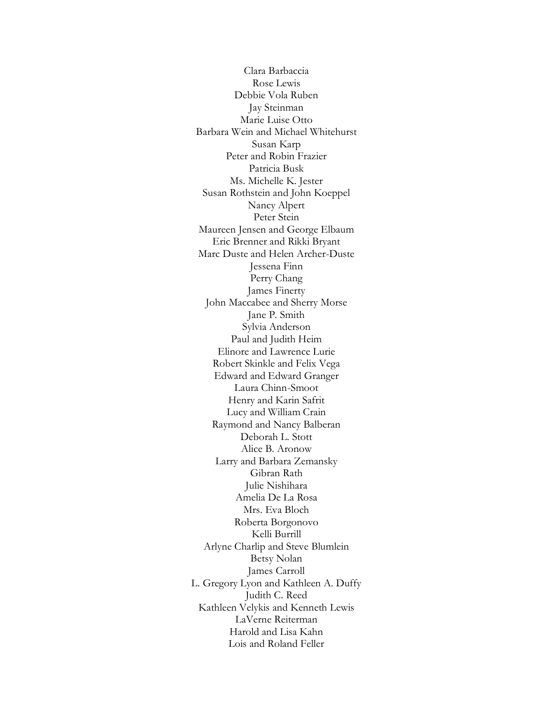Clara Barbaccia Rose Lewis Debbie Vola Ruben Jay Steinman Marie Luise Otto Barbara Wein and Michael Whitehurst Susan Karp Peter and Robin Frazier Patricia Busk Ms. Michelle K. Jester Susan Rothstein and John Koeppel Nancy Alpert Peter Stein Maureen Jensen and George Elbaum Eric Brenner and Rikki Bryant Marc Duste and Helen Archer-Duste Jessena Finn Perry Chang James Finerty John Maccabee and Sherry Morse Jane P. Smith Sylvia Anderson Paul and Judith Heim Elinore and Lawrence Lurie Robert Skinkle and Felix Vega Edward and Edward Granger Laura Chinn-Smoot Henry and Karin Safrit Lucy and William Crain Raymond and Nancy Balberan Deborah L. Stott Alice B. Aronow Larry and Barbara Zemansky Gibran Rath Julie Nishihara Amelia De La Rosa Mrs. Eva Bloch Roberta Borgonovo Kelli Burrill Arlyne Charlip and Steve Blumlein Betsy Nolan James Carroll L. Gregory Lyon and Kathleen A. Duffy Judith C. Reed Kathleen Velykis and Kenneth Lewis LaVerne Reiterman Harold and Lisa Kahn Lois and Roland Feller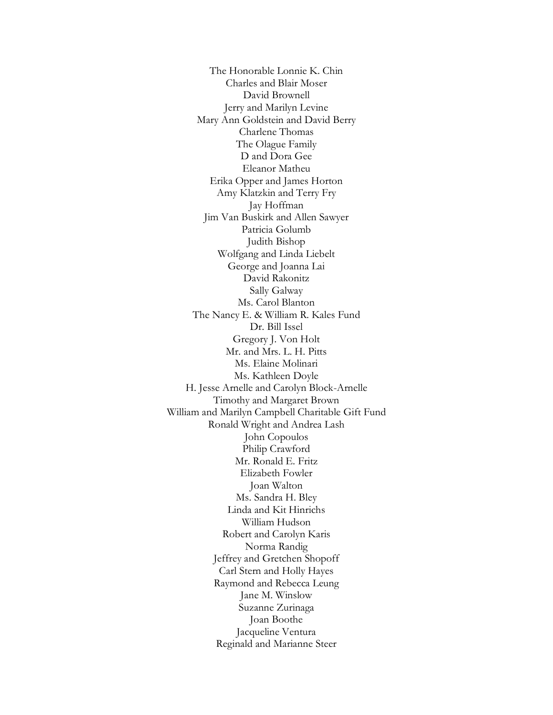The Honorable Lonnie K. Chin Charles and Blair Moser David Brownell Jerry and Marilyn Levine Mary Ann Goldstein and David Berry Charlene Thomas The Olague Family D and Dora Gee Eleanor Matheu Erika Opper and James Horton Amy Klatzkin and Terry Fry Jay Hoffman Jim Van Buskirk and Allen Sawyer Patricia Golumb Judith Bishop Wolfgang and Linda Liebelt George and Joanna Lai David Rakonitz Sally Galway Ms. Carol Blanton The Nancy E. & William R. Kales Fund Dr. Bill Issel Gregory J. Von Holt Mr. and Mrs. L. H. Pitts Ms. Elaine Molinari Ms. Kathleen Doyle H. Jesse Arnelle and Carolyn Block-Arnelle Timothy and Margaret Brown William and Marilyn Campbell Charitable Gift Fund Ronald Wright and Andrea Lash John Copoulos Philip Crawford Mr. Ronald E. Fritz Elizabeth Fowler Joan Walton Ms. Sandra H. Bley Linda and Kit Hinrichs William Hudson Robert and Carolyn Karis Norma Randig Jeffrey and Gretchen Shopoff Carl Stern and Holly Hayes Raymond and Rebecca Leung Jane M. Winslow Suzanne Zurinaga Joan Boothe Jacqueline Ventura Reginald and Marianne Steer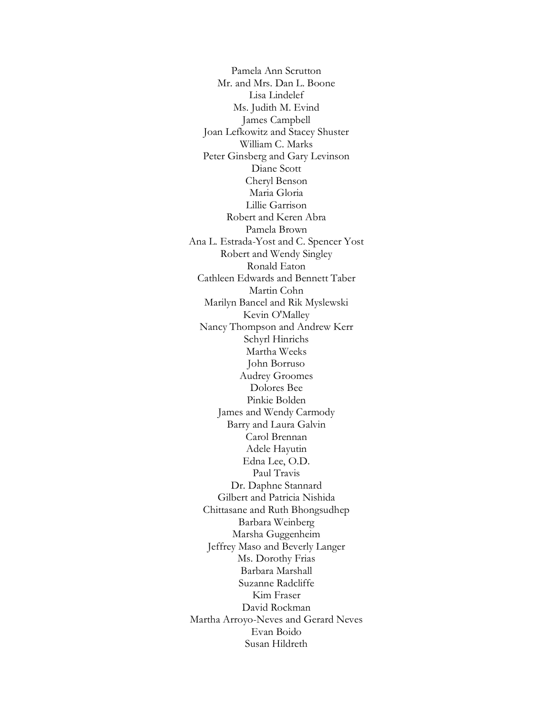Pamela Ann Scrutton Mr. and Mrs. Dan L. Boone Lisa Lindelef Ms. Judith M. Evind James Campbell Joan Lefkowitz and Stacey Shuster William C. Marks Peter Ginsberg and Gary Levinson Diane Scott Cheryl Benson Maria Gloria Lillie Garrison Robert and Keren Abra Pamela Brown Ana L. Estrada-Yost and C. Spencer Yost Robert and Wendy Singley Ronald Eaton Cathleen Edwards and Bennett Taber Martin Cohn Marilyn Bancel and Rik Myslewski Kevin O'Malley Nancy Thompson and Andrew Kerr Schyrl Hinrichs Martha Weeks John Borruso Audrey Groomes Dolores Bee Pinkie Bolden James and Wendy Carmody Barry and Laura Galvin Carol Brennan Adele Hayutin Edna Lee, O.D. Paul Travis Dr. Daphne Stannard Gilbert and Patricia Nishida Chittasane and Ruth Bhongsudhep Barbara Weinberg Marsha Guggenheim Jeffrey Maso and Beverly Langer Ms. Dorothy Frias Barbara Marshall Suzanne Radcliffe Kim Fraser David Rockman Martha Arroyo-Neves and Gerard Neves Evan Boido Susan Hildreth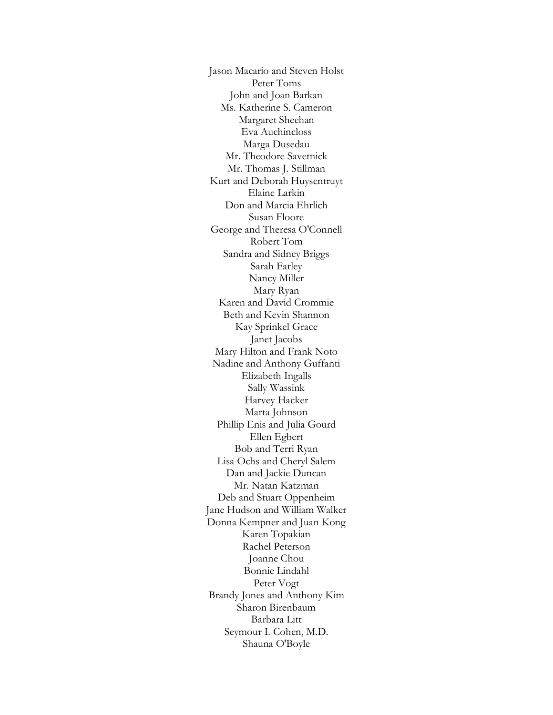Jason Macario and Steven Holst Peter Toms John and Joan Barkan Ms. Katherine S. Cameron Margaret Sheehan Eva Auchincloss Marga Dusedau Mr. Theodore Savetnick Mr. Thomas J. Stillman Kurt and Deborah Huysentruyt Elaine Larkin Don and Marcia Ehrlich Susan Floore George and Theresa O'Connell Robert Tom Sandra and Sidney Briggs Sarah Farley Nancy Miller Mary Ryan Karen and David Crommie Beth and Kevin Shannon Kay Sprinkel Grace Janet Jacobs Mary Hilton and Frank Noto Nadine and Anthony Guffanti Elizabeth Ingalls Sally Wassink Harvey Hacker Marta Johnson Phillip Enis and Julia Gourd Ellen Egbert Bob and Terri Ryan Lisa Ochs and Cheryl Salem Dan and Jackie Duncan Mr. Natan Katzman Deb and Stuart Oppenheim Jane Hudson and William Walker Donna Kempner and Juan Kong Karen Topakian Rachel Peterson Joanne Chou Bonnie Lindahl Peter Vogt Brandy Jones and Anthony Kim Sharon Birenbaum Barbara Litt Seymour I. Cohen, M.D. Shauna O'Boyle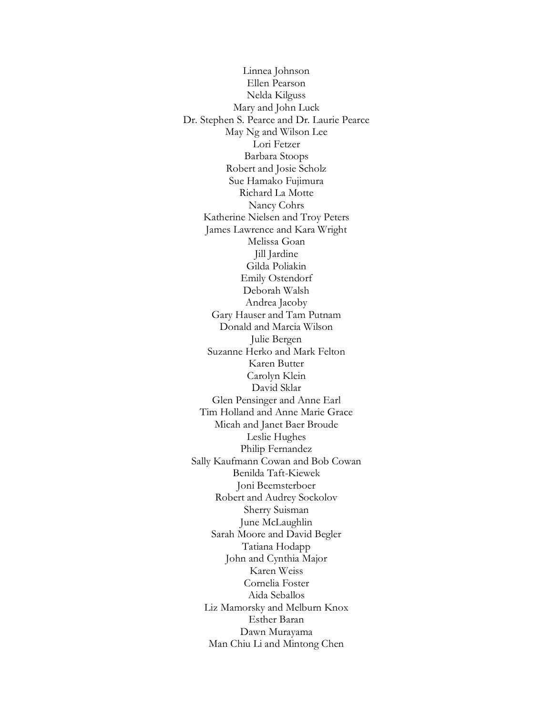Linnea Johnson Ellen Pearson Nelda Kilguss Mary and John Luck Dr. Stephen S. Pearce and Dr. Laurie Pearce May Ng and Wilson Lee Lori Fetzer Barbara Stoops Robert and Josie Scholz Sue Hamako Fujimura Richard La Motte Nancy Cohrs Katherine Nielsen and Troy Peters James Lawrence and Kara Wright Melissa Goan Jill Jardine Gilda Poliakin Emily Ostendorf Deborah Walsh Andrea Jacoby Gary Hauser and Tam Putnam Donald and Marcia Wilson Julie Bergen Suzanne Herko and Mark Felton Karen Butter Carolyn Klein David Sklar Glen Pensinger and Anne Earl Tim Holland and Anne Marie Grace Micah and Janet Baer Broude Leslie Hughes Philip Fernandez Sally Kaufmann Cowan and Bob Cowan Benilda Taft-Kiewek Joni Beemsterboer Robert and Audrey Sockolov Sherry Suisman June McLaughlin Sarah Moore and David Begler Tatiana Hodapp John and Cynthia Major Karen Weiss Cornelia Foster Aida Seballos Liz Mamorsky and Melburn Knox Esther Baran Dawn Murayama Man Chiu Li and Mintong Chen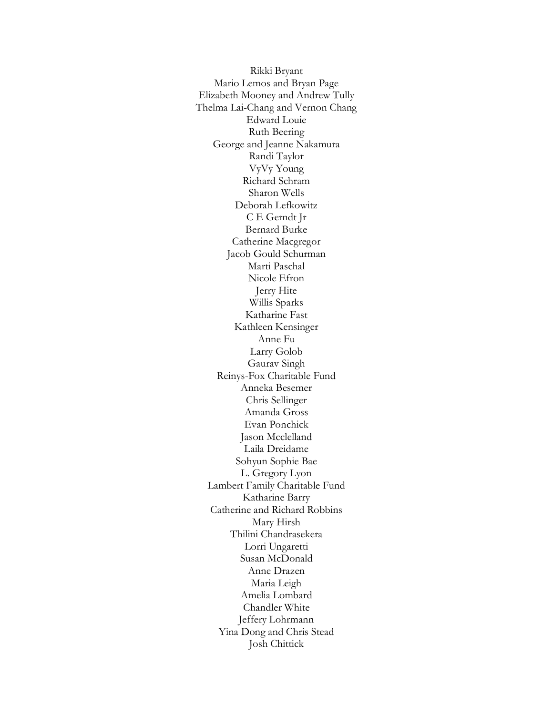Rikki Bryant Mario Lemos and Bryan Page Elizabeth Mooney and Andrew Tully Thelma Lai-Chang and Vernon Chang Edward Louie Ruth Beering George and Jeanne Nakamura Randi Taylor VyVy Young Richard Schram Sharon Wells Deborah Lefkowitz C E Gerndt Jr Bernard Burke Catherine Macgregor Jacob Gould Schurman Marti Paschal Nicole Efron Jerry Hite Willis Sparks Katharine Fast Kathleen Kensinger Anne Fu Larry Golob Gaurav Singh Reinys-Fox Charitable Fund Anneka Besemer Chris Sellinger Amanda Gross Evan Ponchick Jason Mcclelland Laila Dreidame Sohyun Sophie Bae L. Gregory Lyon Lambert Family Charitable Fund Katharine Barry Catherine and Richard Robbins Mary Hirsh Thilini Chandrasekera Lorri Ungaretti Susan McDonald Anne Drazen Maria Leigh Amelia Lombard Chandler White Jeffery Lohrmann Yina Dong and Chris Stead Josh Chittick